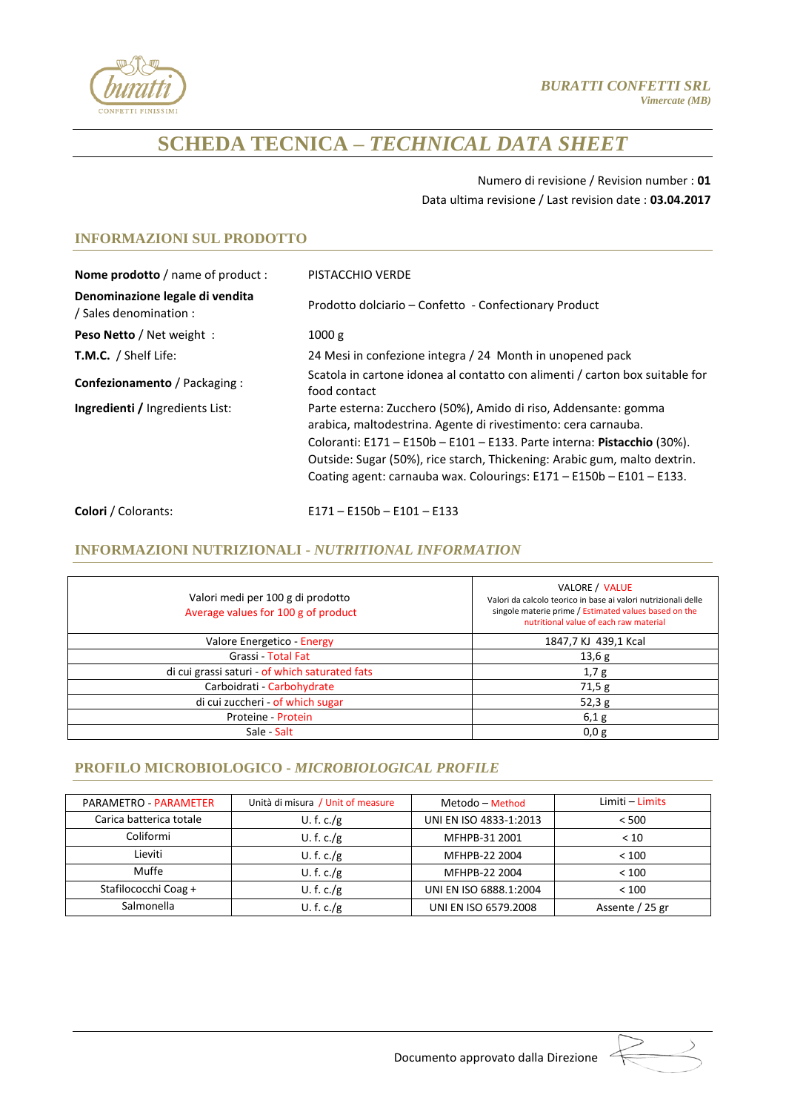

Numero di revisione / Revision number : **01** Data ultima revisione / Last revision date : **03.04.2017**

# **INFORMAZIONI SUL PRODOTTO**

| Nome prodotto / name of product :                         | PISTACCHIO VERDE                                                                                                                                                                                                                                                                                                                                                     |  |  |  |
|-----------------------------------------------------------|----------------------------------------------------------------------------------------------------------------------------------------------------------------------------------------------------------------------------------------------------------------------------------------------------------------------------------------------------------------------|--|--|--|
| Denominazione legale di vendita<br>/ Sales denomination : | Prodotto dolciario - Confetto - Confectionary Product                                                                                                                                                                                                                                                                                                                |  |  |  |
| <b>Peso Netto / Net weight:</b>                           | 1000 g                                                                                                                                                                                                                                                                                                                                                               |  |  |  |
| <b>T.M.C.</b> / Shelf Life:                               | 24 Mesi in confezione integra / 24 Month in unopened pack                                                                                                                                                                                                                                                                                                            |  |  |  |
| Confezionamento / Packaging :                             | Scatola in cartone idonea al contatto con alimenti / carton box suitable for<br>food contact                                                                                                                                                                                                                                                                         |  |  |  |
| <b>Ingredienti / Ingredients List:</b>                    | Parte esterna: Zucchero (50%), Amido di riso, Addensante: gomma<br>arabica, maltodestrina. Agente di rivestimento: cera carnauba.<br>Coloranti: $E171 - E150b - E101 - E133$ . Parte interna: Pistacchio (30%).<br>Outside: Sugar (50%), rice starch, Thickening: Arabic gum, malto dextrin.<br>Coating agent: carnauba wax. Colourings: E171 - E150b - E101 - E133. |  |  |  |
| <b>Colori</b> / Colorants:                                | $E171 - E150b - E101 - E133$                                                                                                                                                                                                                                                                                                                                         |  |  |  |

## **INFORMAZIONI NUTRIZIONALI -** *NUTRITIONAL INFORMATION*

| Valori medi per 100 g di prodotto<br>Average values for 100 g of product | VALORE / VALUE<br>Valori da calcolo teorico in base ai valori nutrizionali delle<br>singole materie prime / Estimated values based on the<br>nutritional value of each raw material |
|--------------------------------------------------------------------------|-------------------------------------------------------------------------------------------------------------------------------------------------------------------------------------|
| Valore Energetico - Energy                                               | 1847,7 KJ 439,1 Kcal                                                                                                                                                                |
| Grassi - Total Fat                                                       | 13,6g                                                                                                                                                                               |
| di cui grassi saturi - of which saturated fats                           | 1,7g                                                                                                                                                                                |
| Carboidrati - Carbohydrate                                               | 71,5g                                                                                                                                                                               |
| di cui zuccheri - of which sugar                                         | 52,3g                                                                                                                                                                               |
| Proteine - Protein                                                       | 6,1g                                                                                                                                                                                |
| Sale - Salt                                                              | 0,0g                                                                                                                                                                                |

## **PROFILO MICROBIOLOGICO -** *MICROBIOLOGICAL PROFILE*

| PARAMETRO - PARAMETER   | Unità di misura / Unit of measure | Metodo - Method        | Limiti – Limits |
|-------------------------|-----------------------------------|------------------------|-----------------|
| Carica batterica totale | U.f.c./g                          | UNI EN ISO 4833-1:2013 | < 500           |
| Coliformi               | U.f.c./g                          | MFHPB-31 2001          | < 10            |
| Lieviti                 | U.f.c./g                          | MFHPB-22 2004          | < 100           |
| Muffe                   | U.f.c./g                          | MFHPB-22 2004          | < 100           |
| Stafilococchi Coag +    | U.f.c./g                          | UNI EN ISO 6888.1:2004 | < 100           |
| Salmonella              | U.f.c./g                          | UNI EN ISO 6579.2008   | Assente / 25 gr |

Documento approvato dalla Direzione :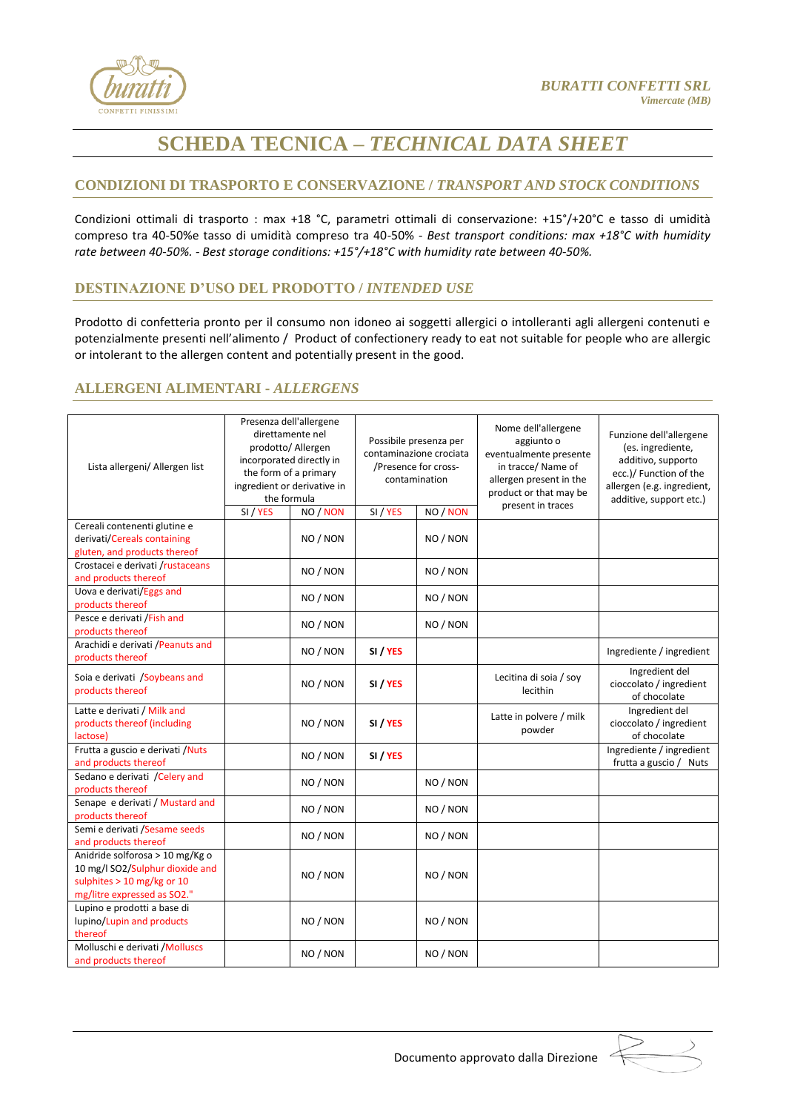

## **CONDIZIONI DI TRASPORTO E CONSERVAZIONE /** *TRANSPORT AND STOCK CONDITIONS*

Condizioni ottimali di trasporto : max +18 °C, parametri ottimali di conservazione: +15°/+20°C e tasso di umidità compreso tra 40-50%e tasso di umidità compreso tra 40-50% - *Best transport conditions: max +18°C with humidity rate between 40-50%. - Best storage conditions: +15°/+18°C with humidity rate between 40-50%.*

#### **DESTINAZIONE D'USO DEL PRODOTTO /** *INTENDED USE*

Prodotto di confetteria pronto per il consumo non idoneo ai soggetti allergici o intolleranti agli allergeni contenuti e potenzialmente presenti nell'alimento / Product of confectionery ready to eat not suitable for people who are allergic or intolerant to the allergen content and potentially present in the good.

#### **ALLERGENI ALIMENTARI -** *ALLERGENS*

| Lista allergeni/ Allergen list                    | Presenza dell'allergene<br>direttamente nel<br>prodotto/ Allergen<br>incorporated directly in<br>the form of a primary<br>ingredient or derivative in<br>the formula<br>SI / YES<br>NO / NON |          | Possibile presenza per<br>contaminazione crociata<br>/Presence for cross-<br>contamination<br>SI / YES<br>NO / NON |          | Nome dell'allergene<br>aggiunto o<br>eventualmente presente<br>in tracce/ Name of<br>allergen present in the<br>product or that may be<br>present in traces | Funzione dell'allergene<br>(es. ingrediente,<br>additivo, supporto<br>ecc.)/ Function of the<br>allergen (e.g. ingredient,<br>additive, support etc.) |
|---------------------------------------------------|----------------------------------------------------------------------------------------------------------------------------------------------------------------------------------------------|----------|--------------------------------------------------------------------------------------------------------------------|----------|-------------------------------------------------------------------------------------------------------------------------------------------------------------|-------------------------------------------------------------------------------------------------------------------------------------------------------|
| Cereali contenenti glutine e                      |                                                                                                                                                                                              |          |                                                                                                                    |          |                                                                                                                                                             |                                                                                                                                                       |
| derivati/Cereals containing                       |                                                                                                                                                                                              | NO / NON |                                                                                                                    | NO / NON |                                                                                                                                                             |                                                                                                                                                       |
| gluten, and products thereof                      |                                                                                                                                                                                              |          |                                                                                                                    |          |                                                                                                                                                             |                                                                                                                                                       |
| Crostacei e derivati /rustaceans                  |                                                                                                                                                                                              |          |                                                                                                                    |          |                                                                                                                                                             |                                                                                                                                                       |
| and products thereof                              |                                                                                                                                                                                              | NO / NON |                                                                                                                    | NO / NON |                                                                                                                                                             |                                                                                                                                                       |
| Uova e derivati/Eggs and                          |                                                                                                                                                                                              |          |                                                                                                                    |          |                                                                                                                                                             |                                                                                                                                                       |
| products thereof                                  |                                                                                                                                                                                              | NO / NON |                                                                                                                    | NO / NON |                                                                                                                                                             |                                                                                                                                                       |
| Pesce e derivati /Fish and                        |                                                                                                                                                                                              |          |                                                                                                                    |          |                                                                                                                                                             |                                                                                                                                                       |
| products thereof                                  |                                                                                                                                                                                              | NO / NON |                                                                                                                    | NO / NON |                                                                                                                                                             |                                                                                                                                                       |
| Arachidi e derivati / Peanuts and                 |                                                                                                                                                                                              |          |                                                                                                                    |          |                                                                                                                                                             |                                                                                                                                                       |
| products thereof                                  |                                                                                                                                                                                              | NO / NON | SI / YES                                                                                                           |          |                                                                                                                                                             | Ingrediente / ingredient                                                                                                                              |
| Soia e derivati /Soybeans and<br>products thereof |                                                                                                                                                                                              | NO / NON | SI / YES                                                                                                           |          | Lecitina di soia / soy<br>lecithin                                                                                                                          | Ingredient del<br>cioccolato / ingredient<br>of chocolate                                                                                             |
| Latte e derivati / Milk and                       |                                                                                                                                                                                              |          |                                                                                                                    |          |                                                                                                                                                             | Ingredient del                                                                                                                                        |
| products thereof (including<br>lactose)           |                                                                                                                                                                                              | NO / NON | SI / YES                                                                                                           |          | Latte in polvere / milk<br>powder                                                                                                                           | cioccolato / ingredient<br>of chocolate                                                                                                               |
| Frutta a guscio e derivati / Nuts                 |                                                                                                                                                                                              |          |                                                                                                                    |          |                                                                                                                                                             | Ingrediente / ingredient                                                                                                                              |
| and products thereof                              |                                                                                                                                                                                              | NO / NON | SI / YES                                                                                                           |          |                                                                                                                                                             | frutta a guscio / Nuts                                                                                                                                |
| Sedano e derivati / Celery and                    |                                                                                                                                                                                              |          |                                                                                                                    |          |                                                                                                                                                             |                                                                                                                                                       |
| products thereof                                  |                                                                                                                                                                                              | NO / NON |                                                                                                                    | NO / NON |                                                                                                                                                             |                                                                                                                                                       |
| Senape e derivati / Mustard and                   |                                                                                                                                                                                              |          |                                                                                                                    |          |                                                                                                                                                             |                                                                                                                                                       |
| products thereof                                  | NO / NON                                                                                                                                                                                     |          |                                                                                                                    | NO / NON |                                                                                                                                                             |                                                                                                                                                       |
| Semi e derivati / Sesame seeds                    |                                                                                                                                                                                              | NO / NON |                                                                                                                    |          |                                                                                                                                                             |                                                                                                                                                       |
| and products thereof                              |                                                                                                                                                                                              |          |                                                                                                                    | NO / NON |                                                                                                                                                             |                                                                                                                                                       |
| Anidride solforosa > 10 mg/Kg o                   |                                                                                                                                                                                              |          |                                                                                                                    |          |                                                                                                                                                             |                                                                                                                                                       |
| 10 mg/l SO2/Sulphur dioxide and                   |                                                                                                                                                                                              |          |                                                                                                                    |          |                                                                                                                                                             |                                                                                                                                                       |
| sulphites > 10 mg/kg or 10                        |                                                                                                                                                                                              | NO / NON |                                                                                                                    | NO / NON |                                                                                                                                                             |                                                                                                                                                       |
| mg/litre expressed as SO2."                       |                                                                                                                                                                                              |          |                                                                                                                    |          |                                                                                                                                                             |                                                                                                                                                       |
| Lupino e prodotti a base di                       |                                                                                                                                                                                              |          |                                                                                                                    |          |                                                                                                                                                             |                                                                                                                                                       |
| lupino/Lupin and products                         |                                                                                                                                                                                              | NO / NON |                                                                                                                    | NO / NON |                                                                                                                                                             |                                                                                                                                                       |
| thereof                                           |                                                                                                                                                                                              |          |                                                                                                                    |          |                                                                                                                                                             |                                                                                                                                                       |
| Molluschi e derivati / Molluscs                   |                                                                                                                                                                                              |          |                                                                                                                    |          |                                                                                                                                                             |                                                                                                                                                       |
| and products thereof                              |                                                                                                                                                                                              | NO / NON |                                                                                                                    | NO / NON |                                                                                                                                                             |                                                                                                                                                       |

Documento approvato dalla Direzione :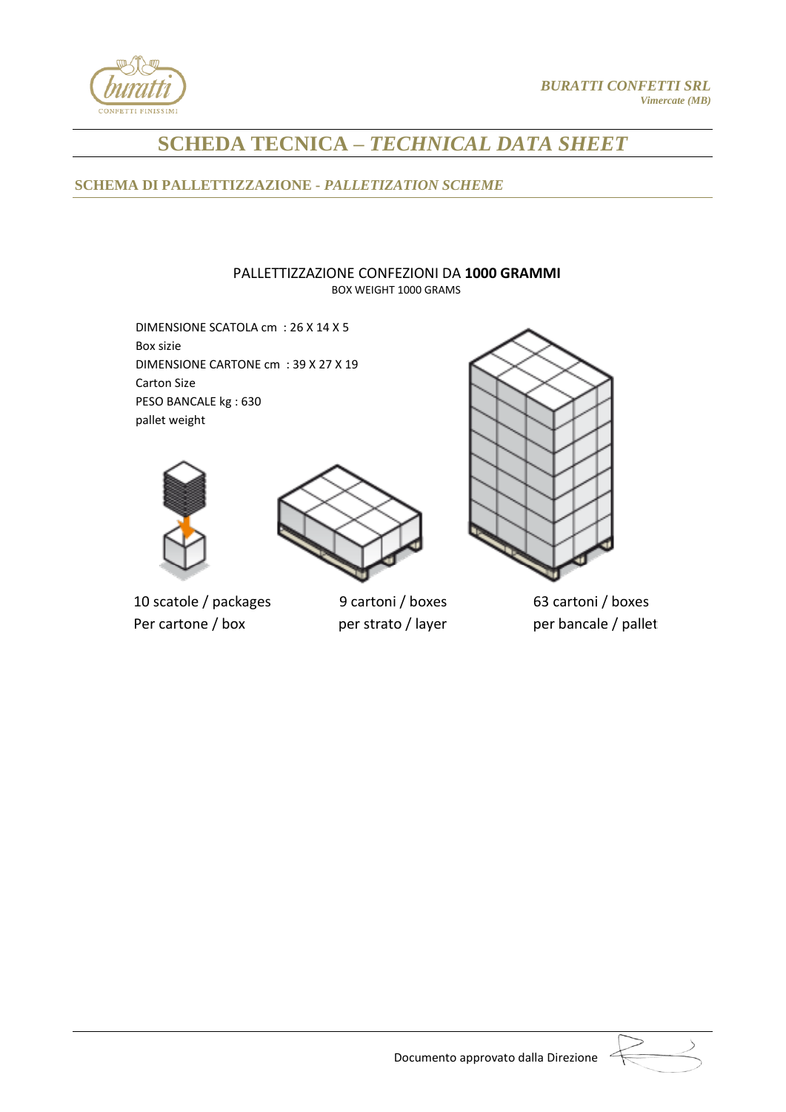

# **SCHEMA DI PALLETTIZZAZIONE -** *PALLETIZATION SCHEME*

#### PALLETTIZZAZIONE CONFEZIONI DA **1000 GRAMMI** BOX WEIGHT 1000 GRAMS

DIMENSIONE SCATOLA cm : 26 X 14 X 5 Box sizie DIMENSIONE CARTONE cm : 39 X 27 X 19 Carton Size PESO BANCALE kg : 630 pallet weight





10 scatole / packages 9 cartoni / boxes 63 cartoni / boxes Per cartone / box per strato / layer per bancale / pallet

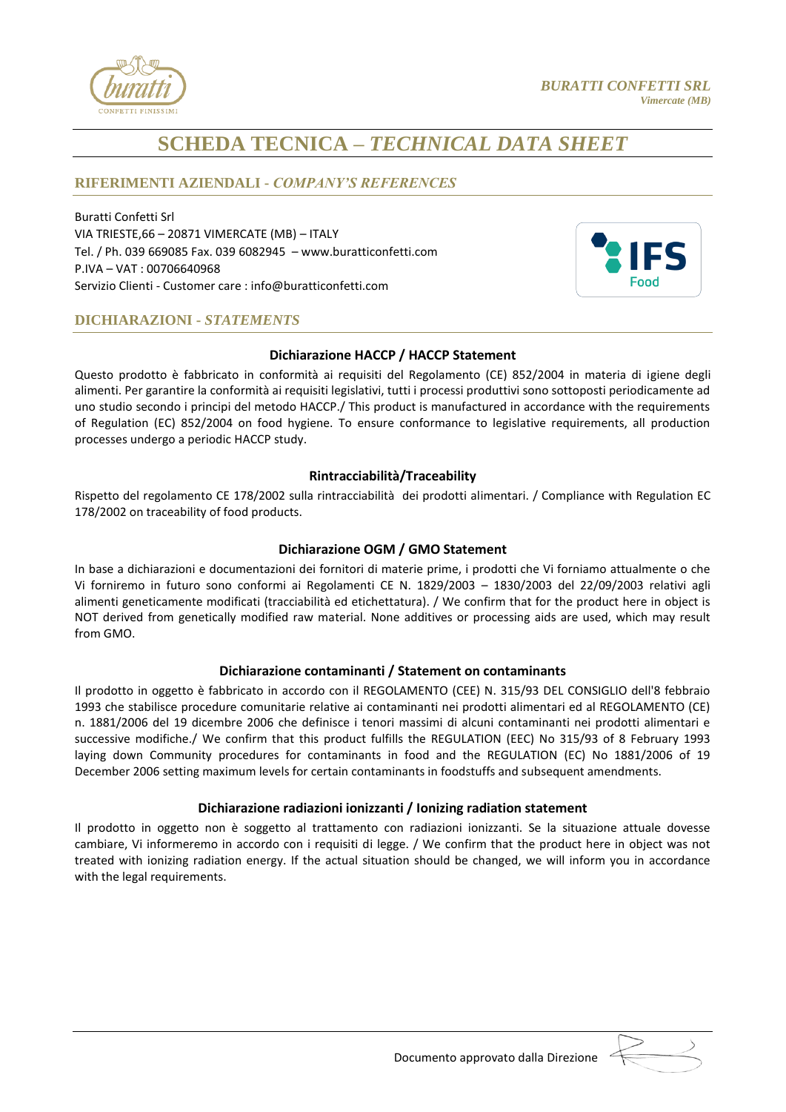

## **RIFERIMENTI AZIENDALI -** *COMPANY'S REFERENCES*

Buratti Confetti Srl VIA TRIESTE,66 – 20871 VIMERCATE (MB) – ITALY Tel. / Ph. 039 669085 Fax. 039 6082945 – www.buratticonfetti.com P.IVA – VAT : 00706640968 Servizio Clienti - Customer care : [info@buratticonfetti.com](mailto:info@buratticonfetti.com)



## **DICHIARAZIONI -** *STATEMENTS*

#### **Dichiarazione HACCP / HACCP Statement**

Questo prodotto è fabbricato in conformità ai requisiti del Regolamento (CE) 852/2004 in materia di igiene degli alimenti. Per garantire la conformità ai requisiti legislativi, tutti i processi produttivi sono sottoposti periodicamente ad uno studio secondo i principi del metodo HACCP./ This product is manufactured in accordance with the requirements of Regulation (EC) 852/2004 on food hygiene. To ensure conformance to legislative requirements, all production processes undergo a periodic HACCP study.

### **Rintracciabilità/Traceability**

Rispetto del regolamento CE 178/2002 sulla rintracciabilità dei prodotti alimentari. / Compliance with Regulation EC 178/2002 on traceability of food products.

### **Dichiarazione OGM / GMO Statement**

In base a dichiarazioni e documentazioni dei fornitori di materie prime, i prodotti che Vi forniamo attualmente o che Vi forniremo in futuro sono conformi ai Regolamenti CE N. 1829/2003 – 1830/2003 del 22/09/2003 relativi agli alimenti geneticamente modificati (tracciabilità ed etichettatura). / We confirm that for the product here in object is NOT derived from genetically modified raw material. None additives or processing aids are used, which may result from GMO.

#### **Dichiarazione contaminanti / Statement on contaminants**

Il prodotto in oggetto è fabbricato in accordo con il REGOLAMENTO (CEE) N. 315/93 DEL CONSIGLIO dell'8 febbraio 1993 che stabilisce procedure comunitarie relative ai contaminanti nei prodotti alimentari ed al REGOLAMENTO (CE) n. 1881/2006 del 19 dicembre 2006 che definisce i tenori massimi di alcuni contaminanti nei prodotti alimentari e successive modifiche./ We confirm that this product fulfills the REGULATION (EEC) No 315/93 of 8 February 1993 laying down Community procedures for contaminants in food and the REGULATION (EC) No 1881/2006 of 19 December 2006 setting maximum levels for certain contaminants in foodstuffs and subsequent amendments.

#### **Dichiarazione radiazioni ionizzanti / Ionizing radiation statement**

Il prodotto in oggetto non è soggetto al trattamento con radiazioni ionizzanti. Se la situazione attuale dovesse cambiare, Vi informeremo in accordo con i requisiti di legge. / We confirm that the product here in object was not treated with ionizing radiation energy. If the actual situation should be changed, we will inform you in accordance with the legal requirements.